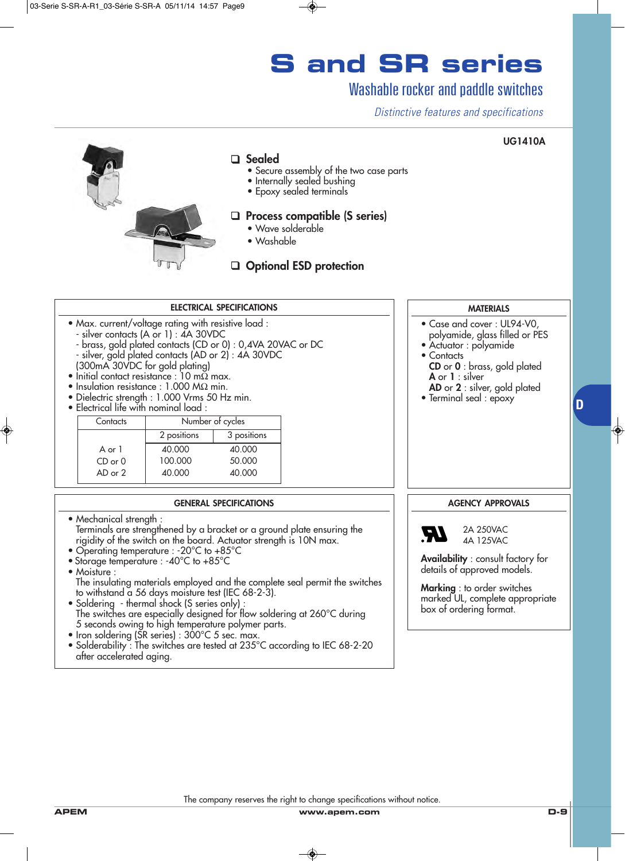## **S and SR series**

#### Washable rocker and paddle switches

*Distinctive features and specifications*

#### **UG1410A**



#### ❑ **Sealed**

- Secure assembly of the two case parts
- Internally sealed bushing
- Epoxy sealed terminals

#### ❑ **Process compatible (S series)**

- Wave solderable
- Washable



#### **ELECTRICAL SPECIFICATIONS**

- Max. current/voltage rating with resistive load :
	- silver contacts (A or 1) : 4A 30VDC
	- brass, gold plated contacts (CD or 0) : 0,4VA 20VAC or DC
- silver, gold plated contacts (AD or 2) : 4A 30VDC
- (300mA 30VDC for gold plating)
- Initial contact resistance :  $10 \text{ m}\Omega$  max.
- Insulation resistance : 1.000 MΩ min.
- Dielectric strength : 1.000 Vrms 50 Hz min.
- Electrical life with nominal load :

| Contacts    | Number of cycles |             |
|-------------|------------------|-------------|
|             | 2 positions      | 3 positions |
| A or $1$    | 40.000           | 40,000      |
| $CD$ or $0$ | 100.000          | 50,000      |
| $AD$ or $2$ | 40.000           | 40,000      |

#### **GENERAL SPECIFICATIONS**

- Mechanical strength : Terminals are strengthened by a bracket or a ground plate ensuring the rigidity of the switch on the board. Actuator strength is 10N max.
- Operating temperature : -20°C to +85°C
- Storage temperature : -40°C to +85°C
- Moisture :

The insulating materials employed and the complete seal permit the switches to withstand a 56 days moisture test (IEC 68-2-3).

- Soldering thermal shock (S series only) : The switches are especially designed for flow soldering at 260°C during 5 seconds owing to high temperature polymer parts.
- Iron soldering (SR series) : 300°C 5 sec. max.
- Solderability : The switches are tested at 235°C according to IEC 68-2-20 after accelerated aging.



- Case and cover : UL94-V0, polyamide, glass filled or PES
- Actuator : polyamide
- Contacts
- **CD** or **0** : brass, gold plated **A** or **1** : silver
	- **AD** or **2** : silver, gold plated

**D**

• Terminal seal : epoxy

#### **AGENCY APPROVALS**



4A 125VAC

**Availability** : consult factory for details of approved models.

**Marking** : to order switches marked UL, complete appropriate box of ordering format.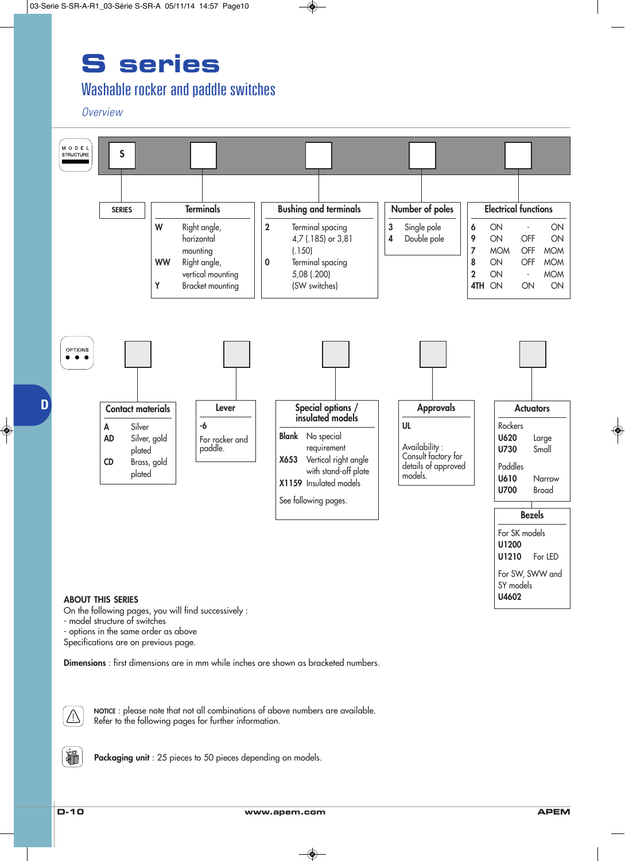### **S series**

### Washable rocker and paddle switches

*Overview*



- model structure of switches

- options in the same order as above

Specifications are on previous page.

**Dimensions** : first dimensions are in mm while inches are shown as bracketed numbers.



**NOTICE** : please note that not all combinations of above numbers are available. Refer to the following pages for further information.



**Packaging unit** : 25 pieces to 50 pieces depending on models.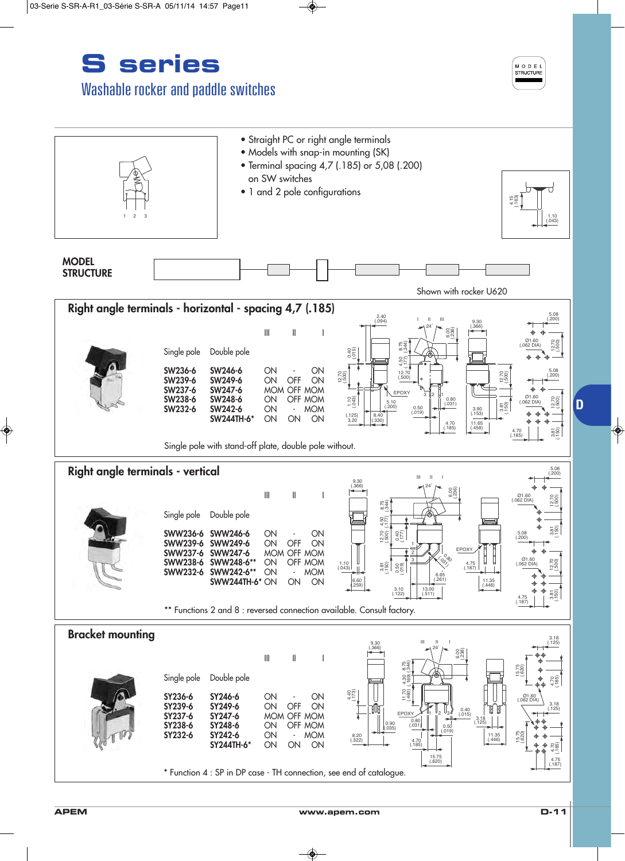



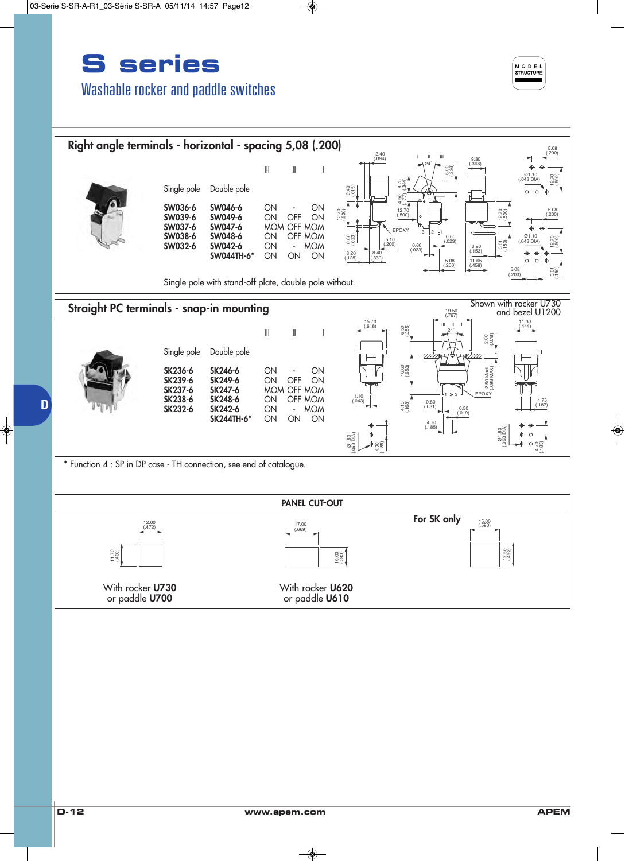### **S series** Washable rocker and paddle switches





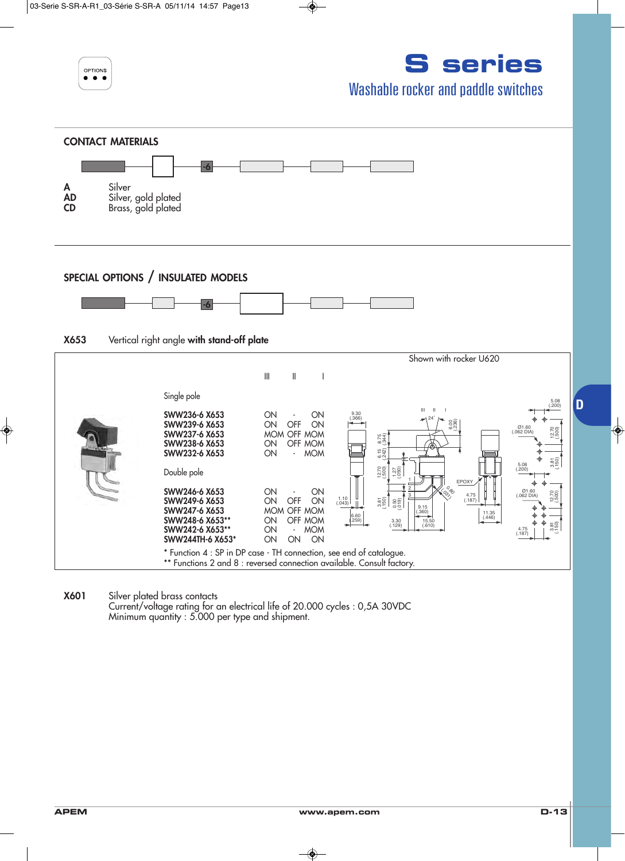

# **S series**

#### Washable rocker and paddle switches



**X601** Silver plated brass contacts

Current/voltage rating for an electrical life of 20.000 cycles : 0,5A 30VDC Minimum quantity : 5.000 per type and shipment.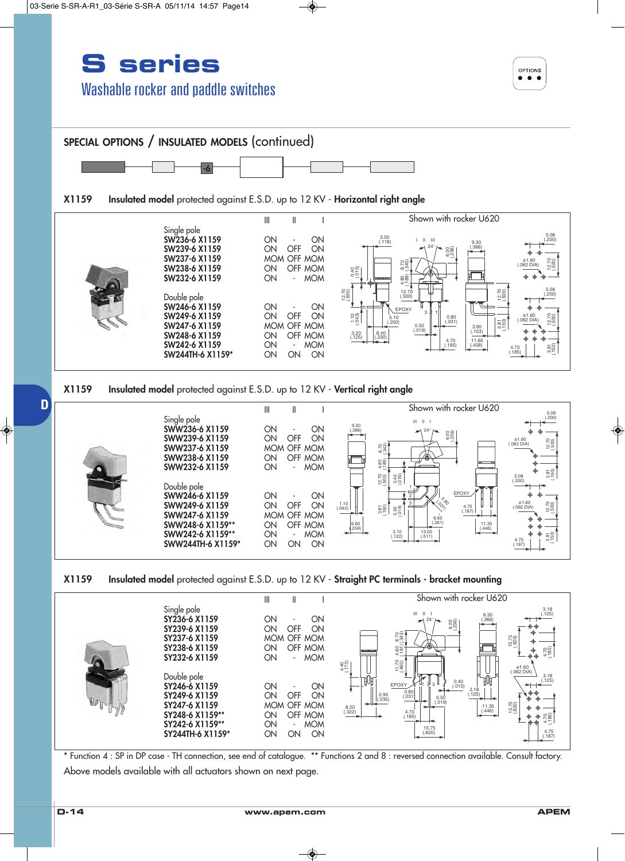### **S series** Washable rocker and paddle switches













\* Function 4 : SP in DP case - TH connection, see end of catalogue. \*\* Functions 2 and 8 : reversed connection available. Consult factory. Above models available with all actuators shown on next page.

**D**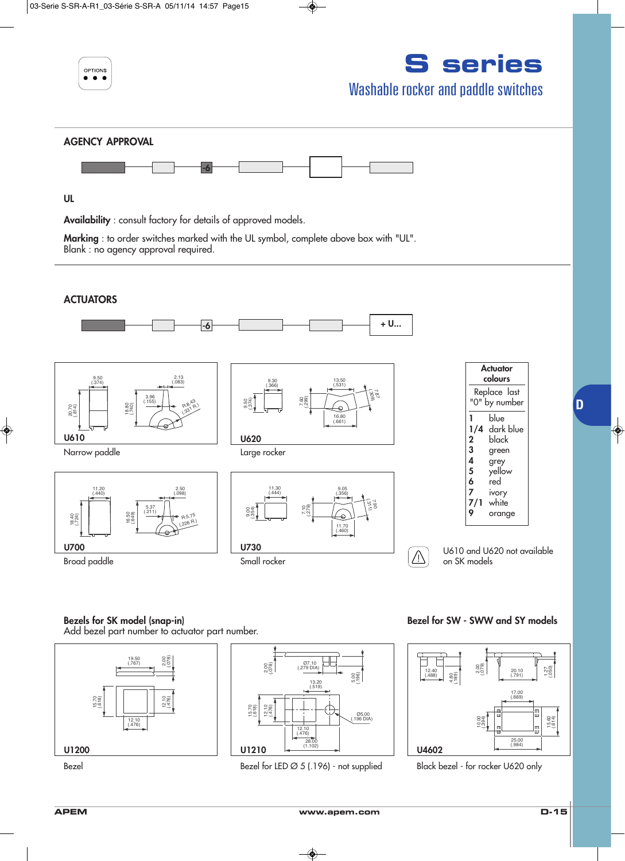| OPTIONS                                                                                                                      | <b>S</b> series<br><b>Washable rocker and paddle switches</b> |
|------------------------------------------------------------------------------------------------------------------------------|---------------------------------------------------------------|
| <b>AGENCY APPROVAL</b>                                                                                                       |                                                               |
| <b>UL</b>                                                                                                                    |                                                               |
| <b>Availability</b> : consult factory for details of approved models.                                                        |                                                               |
| Marking : to order switches marked with the UL symbol, complete above box with "UL".<br>Blank : no agency approval required. |                                                               |
|                                                                                                                              |                                                               |

#### **ACTUATORS**



#### **Bezels for SK model (snap-in)**

Add bezel part number to actuator part number.





Bezel Bezel for LED Ø 5 (.196) - not supplied Black bezel - for rocker U620 only

**Bezel for SW - SWW and SY models**



**D**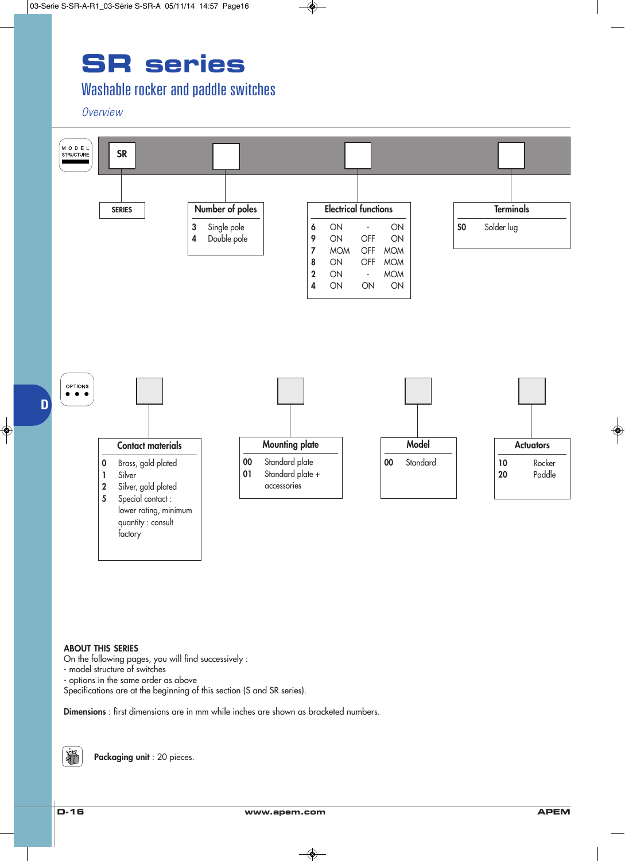## **SR series**

### Washable rocker and paddle switches

*Overview*



#### **ABOUT THIS SERIES**

On the following pages, you will find successively :

- model structure of switches
- options in the same order as above

Specifications are at the beginning of this section (S and SR series).

**Dimensions** : first dimensions are in mm while inches are shown as bracketed numbers.

输

**Packaging unit** : 20 pieces.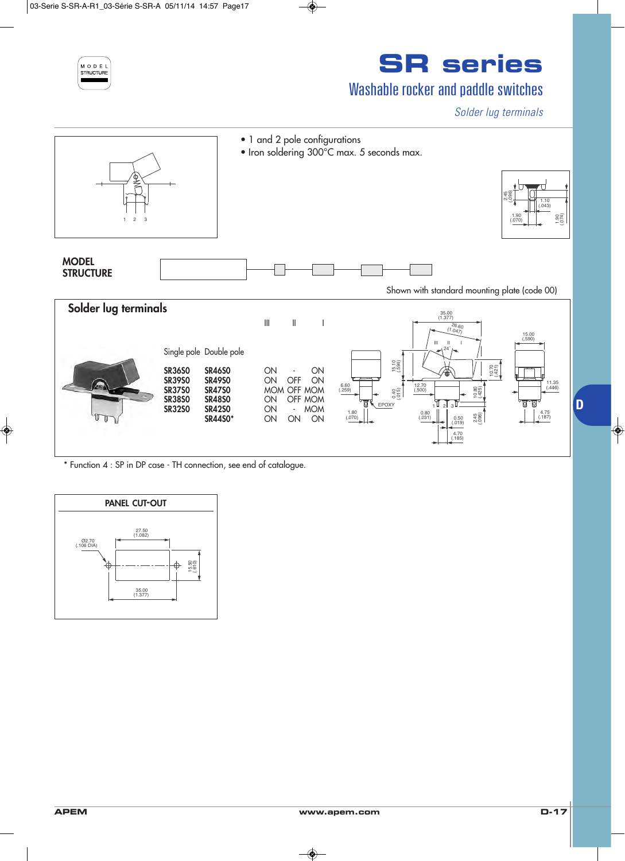

## **SR series**

### Washable rocker and paddle switches

*Solder lug terminals*



\* Function 4 : SP in DP case - TH connection, see end of catalogue.

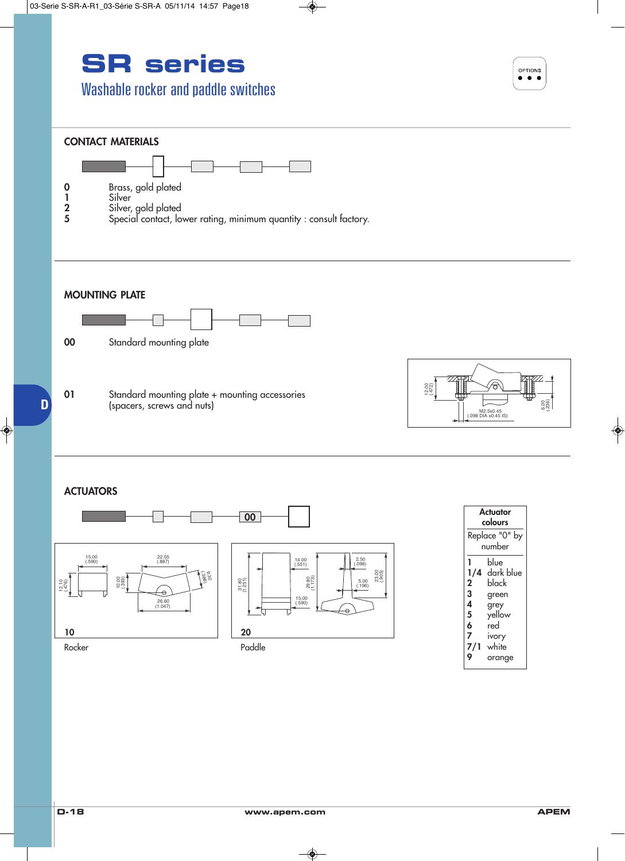# **SR series**

### Washable rocker and paddle switches





| Actuator<br>colours<br>Replace "0" by<br>number |  |  |
|-------------------------------------------------|--|--|
|                                                 |  |  |

M2.5x0.45<br>(098 DIA x0.45 IS)

6

(.236)

6.00